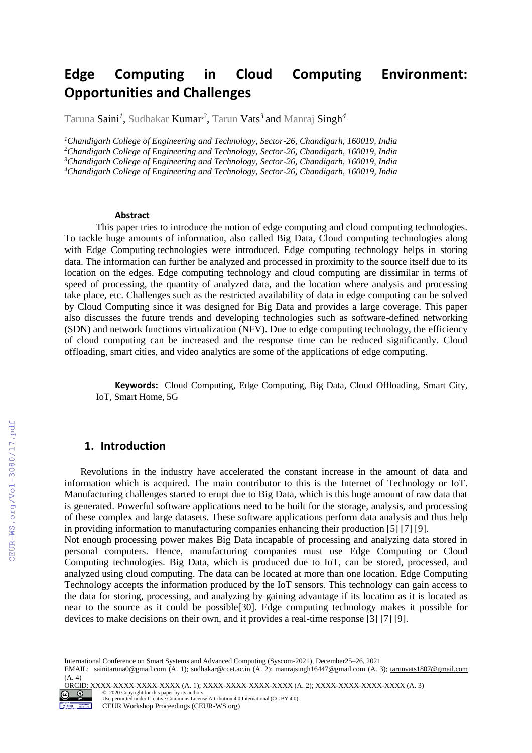# **Edge Computing in Cloud Computing Environment: Opportunities and Challenges**

Taruna **Saini<sup>1</sup>, Sudhakar <b>Kumar<sup>2</sup>,** Tarun **Vats<sup>3</sup> and** Manraj **Singh<sup>4</sup>** 

*Chandigarh College of Engineering and Technology, Sector-26, Chandigarh, 160019, India Chandigarh College of Engineering and Technology, Sector-26, Chandigarh, 160019, India Chandigarh College of Engineering and Technology, Sector-26, Chandigarh, 160019, India Chandigarh College of Engineering and Technology, Sector-26, Chandigarh, 160019, India*

#### **Abstract**

This paper tries to introduce the notion of edge computing and cloud computing technologies. To tackle huge amounts of information, also called Big Data, Cloud computing technologies along with Edge Computing technologies were introduced. Edge computing technology helps in storing data. The information can further be analyzed and processed in proximity to the source itself due to its location on the edges. Edge computing technology and cloud computing are dissimilar in terms of speed of processing, the quantity of analyzed data, and the location where analysis and processing take place, etc. Challenges such as the restricted availability of data in edge computing can be solved by Cloud Computing since it was designed for Big Data and provides a large coverage. This paper also discusses the future trends and developing technologies such as software-defined networking (SDN) and network functions virtualization (NFV). Due to edge computing technology, the efficiency of cloud computing can be increased and the response time can be reduced significantly. Cloud offloading, smart cities, and video analytics are some of the applications of edge computing.

**Keywords:** Cloud Computing, Edge Computing, Big Data, Cloud Offloading, Smart City, IoT, Smart Home, 5G

#### **1. Introduction**

Revolutions in the industry have accelerated the constant increase in the amount of data and information which is acquired. The main contributor to this is the Internet of Technology or IoT. Manufacturing challenges started to erupt due to Big Data, which is this huge amount of raw data that is generated. Powerful software applications need to be built for the storage, analysis, and processing of these complex and large datasets. These software applications perform data analysis and thus help in providing information to manufacturing companies enhancing their production [5] [7] [9].

Not enough processing power makes Big Data incapable of processing and analyzing data stored in personal computers. Hence, manufacturing companies must use Edge Computing or Cloud Computing technologies. Big Data, which is produced due to IoT, can be stored, processed, and analyzed using cloud computing. The data can be located at more than one location. Edge Computing Technology accepts the information produced by the IoT sensors. This technology can gain access to the data for storing, processing, and analyzing by gaining advantage if its location as it is located as near to the source as it could be possible[30]. Edge computing technology makes it possible for devices to make decisions on their own, and it provides a real-time response [3] [7] [9].

International Conference on Smart Systems and Advanced Computing (Syscom-2021), December25–26, 2021

EMAIL: sainitaruna0@gmail.com (A. 1); sudhakar@ccet.ac.in (A. 2); manrajsingh16447@gmail.com (A. 3); [tarunvats1807@gmail.com](mailto:tarunvats1807@gmail.com) (A. 4)

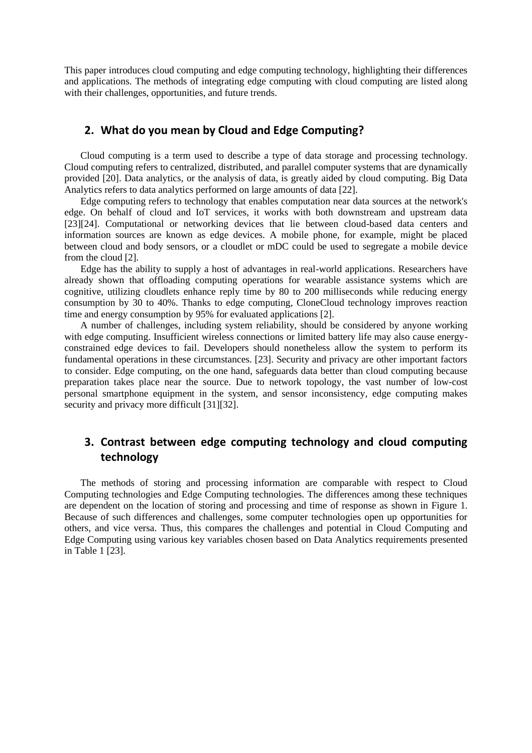This paper introduces cloud computing and edge computing technology, highlighting their differences and applications. The methods of integrating edge computing with cloud computing are listed along with their challenges, opportunities, and future trends.

#### **2. What do you mean by Cloud and Edge Computing?**

Cloud computing is a term used to describe a type of data storage and processing technology. Cloud computing refers to centralized, distributed, and parallel computer systems that are dynamically provided [20]. Data analytics, or the analysis of data, is greatly aided by cloud computing. Big Data Analytics refers to data analytics performed on large amounts of data [22].

Edge computing refers to technology that enables computation near data sources at the network's edge. On behalf of cloud and IoT services, it works with both downstream and upstream data [23][24]. Computational or networking devices that lie between cloud-based data centers and information sources are known as edge devices. A mobile phone, for example, might be placed between cloud and body sensors, or a cloudlet or mDC could be used to segregate a mobile device from the cloud [2].

Edge has the ability to supply a host of advantages in real-world applications. Researchers have already shown that offloading computing operations for wearable assistance systems which are cognitive, utilizing cloudlets enhance reply time by 80 to 200 milliseconds while reducing energy consumption by 30 to 40%. Thanks to edge computing, CloneCloud technology improves reaction time and energy consumption by 95% for evaluated applications [2].

A number of challenges, including system reliability, should be considered by anyone working with edge computing. Insufficient wireless connections or limited battery life may also cause energyconstrained edge devices to fail. Developers should nonetheless allow the system to perform its fundamental operations in these circumstances. [23]. Security and privacy are other important factors to consider. Edge computing, on the one hand, safeguards data better than cloud computing because preparation takes place near the source. Due to network topology, the vast number of low-cost personal smartphone equipment in the system, and sensor inconsistency, edge computing makes security and privacy more difficult [31][32].

# **3. Contrast between edge computing technology and cloud computing technology**

The methods of storing and processing information are comparable with respect to Cloud Computing technologies and Edge Computing technologies. The differences among these techniques are dependent on the location of storing and processing and time of response as shown in Figure 1. Because of such differences and challenges, some computer technologies open up opportunities for others, and vice versa. Thus, this compares the challenges and potential in Cloud Computing and Edge Computing using various key variables chosen based on Data Analytics requirements presented in Table 1 [23].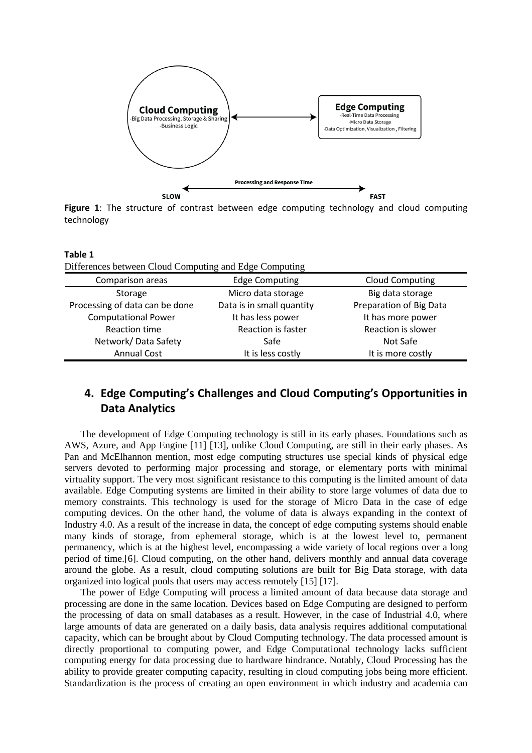

**Figure 1**: The structure of contrast between edge computing technology and cloud computing technology

| Table 1<br>Differences between Cloud Computing and Edge Computing |                           |                         |
|-------------------------------------------------------------------|---------------------------|-------------------------|
| Comparison areas                                                  | <b>Edge Computing</b>     | <b>Cloud Computing</b>  |
| Storage                                                           | Micro data storage        | Big data storage        |
| Processing of data can be done                                    | Data is in small quantity | Preparation of Big Data |
| <b>Computational Power</b>                                        | It has less power         | It has more power       |
| Reaction time                                                     | <b>Reaction is faster</b> | Reaction is slower      |
| Network/Data Safety                                               | Safe                      | Not Safe                |
| <b>Annual Cost</b>                                                | It is less costly         | It is more costly       |

# **4. Edge Computing's Challenges and Cloud Computing's Opportunities in Data Analytics**

The development of Edge Computing technology is still in its early phases. Foundations such as AWS, Azure, and App Engine [11] [13], unlike Cloud Computing, are still in their early phases. As Pan and McElhannon mention, most edge computing structures use special kinds of physical edge servers devoted to performing major processing and storage, or elementary ports with minimal virtuality support. The very most significant resistance to this computing is the limited amount of data available. Edge Computing systems are limited in their ability to store large volumes of data due to memory constraints. This technology is used for the storage of Micro Data in the case of edge computing devices. On the other hand, the volume of data is always expanding in the context of Industry 4.0. As a result of the increase in data, the concept of edge computing systems should enable many kinds of storage, from ephemeral storage, which is at the lowest level to, permanent permanency, which is at the highest level, encompassing a wide variety of local regions over a long period of time.[6]. Cloud computing, on the other hand, delivers monthly and annual data coverage around the globe. As a result, cloud computing solutions are built for Big Data storage, with data organized into logical pools that users may access remotely [15] [17].

The power of Edge Computing will process a limited amount of data because data storage and processing are done in the same location. Devices based on Edge Computing are designed to perform the processing of data on small databases as a result. However, in the case of Industrial 4.0, where large amounts of data are generated on a daily basis, data analysis requires additional computational capacity, which can be brought about by Cloud Computing technology. The data processed amount is directly proportional to computing power, and Edge Computational technology lacks sufficient computing energy for data processing due to hardware hindrance. Notably, Cloud Processing has the ability to provide greater computing capacity, resulting in cloud computing jobs being more efficient. Standardization is the process of creating an open environment in which industry and academia can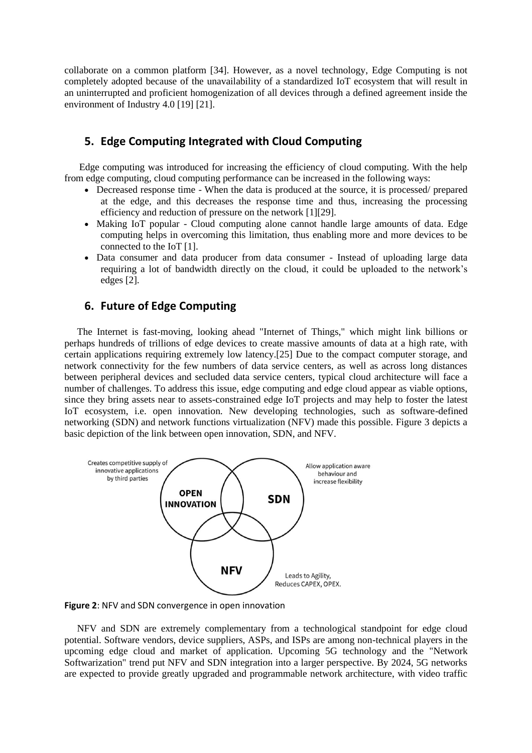collaborate on a common platform [34]. However, as a novel technology, Edge Computing is not completely adopted because of the unavailability of a standardized IoT ecosystem that will result in an uninterrupted and proficient homogenization of all devices through a defined agreement inside the environment of Industry 4.0 [19] [21].

#### **5. Edge Computing Integrated with Cloud Computing**

 Edge computing was introduced for increasing the efficiency of cloud computing. With the help from edge computing, cloud computing performance can be increased in the following ways:

- Decreased response time When the data is produced at the source, it is processed/ prepared at the edge, and this decreases the response time and thus, increasing the processing efficiency and reduction of pressure on the network [1][29].
- Making IoT popular Cloud computing alone cannot handle large amounts of data. Edge computing helps in overcoming this limitation, thus enabling more and more devices to be connected to the IoT [1].
- Data consumer and data producer from data consumer Instead of uploading large data requiring a lot of bandwidth directly on the cloud, it could be uploaded to the network's edges [2].

#### **6. Future of Edge Computing**

The Internet is fast-moving, looking ahead "Internet of Things," which might link billions or perhaps hundreds of trillions of edge devices to create massive amounts of data at a high rate, with certain applications requiring extremely low latency.[25] Due to the compact computer storage, and network connectivity for the few numbers of data service centers, as well as across long distances between peripheral devices and secluded data service centers, typical cloud architecture will face a number of challenges. To address this issue, edge computing and edge cloud appear as viable options, since they bring assets near to assets-constrained edge IoT projects and may help to foster the latest IoT ecosystem, i.e. open innovation. New developing technologies, such as software-defined networking (SDN) and network functions virtualization (NFV) made this possible. Figure 3 depicts a basic depiction of the link between open innovation, SDN, and NFV.



**Figure 2**: NFV and SDN convergence in open innovation

NFV and SDN are extremely complementary from a technological standpoint for edge cloud potential. Software vendors, device suppliers, ASPs, and ISPs are among non-technical players in the upcoming edge cloud and market of application. Upcoming 5G technology and the "Network Softwarization" trend put NFV and SDN integration into a larger perspective. By 2024, 5G networks are expected to provide greatly upgraded and programmable network architecture, with video traffic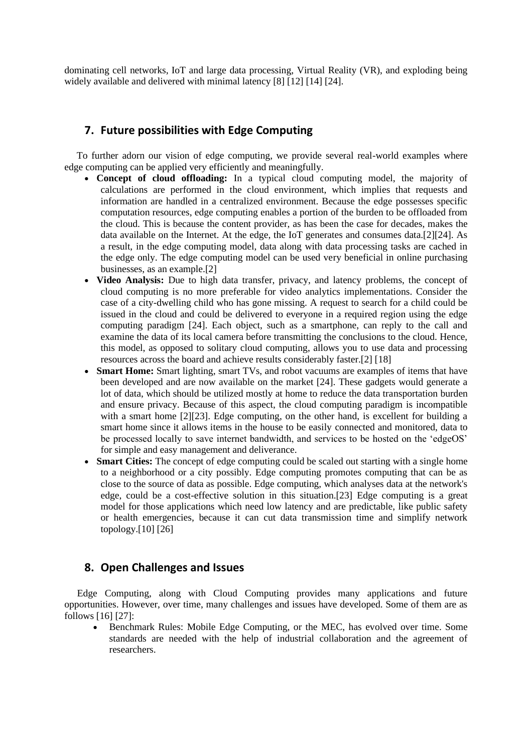dominating cell networks, IoT and large data processing, Virtual Reality (VR), and exploding being widely available and delivered with minimal latency [8] [12] [14] [24].

## **7. Future possibilities with Edge Computing**

 To further adorn our vision of edge computing, we provide several real-world examples where edge computing can be applied very efficiently and meaningfully.

- **Concept of cloud offloading:** In a typical cloud computing model, the majority of calculations are performed in the cloud environment, which implies that requests and information are handled in a centralized environment. Because the edge possesses specific computation resources, edge computing enables a portion of the burden to be offloaded from the cloud. This is because the content provider, as has been the case for decades, makes the data available on the Internet. At the edge, the IoT generates and consumes data.[2][24]. As a result, in the edge computing model, data along with data processing tasks are cached in the edge only. The edge computing model can be used very beneficial in online purchasing businesses, as an example.[2]
- **Video Analysis:** Due to high data transfer, privacy, and latency problems, the concept of cloud computing is no more preferable for video analytics implementations. Consider the case of a city-dwelling child who has gone missing. A request to search for a child could be issued in the cloud and could be delivered to everyone in a required region using the edge computing paradigm [24]. Each object, such as a smartphone, can reply to the call and examine the data of its local camera before transmitting the conclusions to the cloud. Hence, this model, as opposed to solitary cloud computing, allows you to use data and processing resources across the board and achieve results considerably faster.[2] [18]
- **Smart Home:** Smart lighting, smart TVs, and robot vacuums are examples of items that have been developed and are now available on the market [24]. These gadgets would generate a lot of data, which should be utilized mostly at home to reduce the data transportation burden and ensure privacy. Because of this aspect, the cloud computing paradigm is incompatible with a smart home [2][23]. Edge computing, on the other hand, is excellent for building a smart home since it allows items in the house to be easily connected and monitored, data to be processed locally to save internet bandwidth, and services to be hosted on the 'edgeOS' for simple and easy management and deliverance.
- **Smart Cities:** The concept of edge computing could be scaled out starting with a single home to a neighborhood or a city possibly. Edge computing promotes computing that can be as close to the source of data as possible. Edge computing, which analyses data at the network's edge, could be a cost-effective solution in this situation.[23] Edge computing is a great model for those applications which need low latency and are predictable, like public safety or health emergencies, because it can cut data transmission time and simplify network topology.[10] [26]

### **8. Open Challenges and Issues**

Edge Computing, along with Cloud Computing provides many applications and future opportunities. However, over time, many challenges and issues have developed. Some of them are as follows [16] [27]:

• Benchmark Rules: Mobile Edge Computing, or the MEC, has evolved over time. Some standards are needed with the help of industrial collaboration and the agreement of researchers.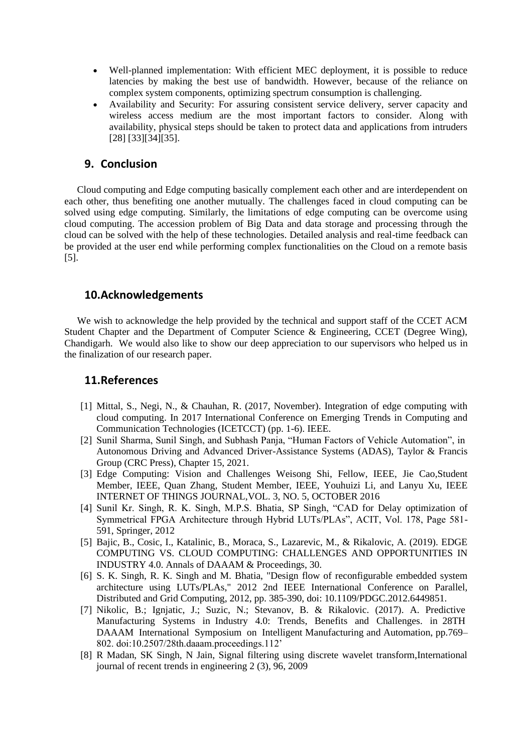- Well-planned implementation: With efficient MEC deployment, it is possible to reduce latencies by making the best use of bandwidth. However, because of the reliance on complex system components, optimizing spectrum consumption is challenging.
- Availability and Security: For assuring consistent service delivery, server capacity and wireless access medium are the most important factors to consider. Along with availability, physical steps should be taken to protect data and applications from intruders [28] [33][34][35].

#### **9. Conclusion**

Cloud computing and Edge computing basically complement each other and are interdependent on each other, thus benefiting one another mutually. The challenges faced in cloud computing can be solved using edge computing. Similarly, the limitations of edge computing can be overcome using cloud computing. The accession problem of Big Data and data storage and processing through the cloud can be solved with the help of these technologies. Detailed analysis and real-time feedback can be provided at the user end while performing complex functionalities on the Cloud on a remote basis [5].

#### **10.Acknowledgements**

We wish to acknowledge the help provided by the technical and support staff of the CCET ACM Student Chapter and the Department of Computer Science & Engineering, CCET (Degree Wing), Chandigarh. We would also like to show our deep appreciation to our supervisors who helped us in the finalization of our research paper.

#### **11.References**

- [1] Mittal, S., Negi, N., & Chauhan, R. (2017, November). Integration of edge computing with cloud computing. In 2017 International Conference on Emerging Trends in Computing and Communication Technologies (ICETCCT) (pp. 1-6). IEEE.
- [2] Sunil Sharma, Sunil Singh, and Subhash Panja, "Human Factors of Vehicle Automation", in Autonomous Driving and Advanced Driver-Assistance Systems (ADAS), Taylor & Francis Group (CRC Press), Chapter 15, 2021.
- [3] Edge Computing: Vision and Challenges Weisong Shi, Fellow, IEEE, Jie Cao,Student Member, IEEE, Quan Zhang, Student Member, IEEE, Youhuizi Li, and Lanyu Xu, IEEE INTERNET OF THINGS JOURNAL,VOL. 3, NO. 5, OCTOBER 2016
- [4] Sunil Kr. Singh, R. K. Singh, M.P.S. Bhatia, SP Singh, "CAD for Delay optimization of Symmetrical FPGA Architecture through Hybrid LUTs/PLAs", ACIT, Vol. 178, Page 581- 591, Springer, 2012
- [5] Bajic, B., Cosic, I., Katalinic, B., Moraca, S., Lazarevic, M., & Rikalovic, A. (2019). EDGE COMPUTING VS. CLOUD COMPUTING: CHALLENGES AND OPPORTUNITIES IN INDUSTRY 4.0. Annals of DAAAM & Proceedings, 30.
- [6] S. K. Singh, R. K. Singh and M. Bhatia, "Design flow of reconfigurable embedded system architecture using LUTs/PLAs," 2012 2nd IEEE International Conference on Parallel, Distributed and Grid Computing, 2012, pp. 385-390, doi: 10.1109/PDGC.2012.6449851.
- [7] Nikolic, B.; Ignjatic, J.; Suzic, N.; Stevanov, B. & Rikalovic. (2017). A. Predictive Manufacturing Systems in Industry 4.0: Trends, Benefits and Challenges. in 28TH DAAAM International Symposium on Intelligent Manufacturing and Automation, pp.769– 802. doi:10.2507/28th.daaam.proceedings.112'
- [8] R Madan, SK Singh, N Jain, Signal filtering using discrete wavelet transform,International journal of recent trends in engineering 2 (3), 96, 2009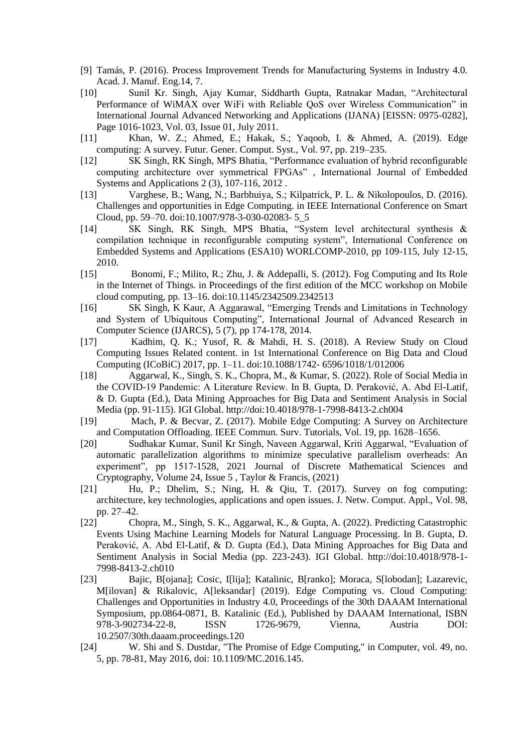- [9] Tamás, P. (2016). Process Improvement Trends for Manufacturing Systems in Industry 4.0. Acad. J. Manuf. Eng.14, 7.
- [10] Sunil Kr. Singh, Ajay Kumar, Siddharth Gupta, Ratnakar Madan, "Architectural Performance of WiMAX over WiFi with Reliable QoS over Wireless Communication" in International Journal Advanced Networking and Applications (IJANA) [EISSN: 0975-0282], Page 1016-1023, Vol. 03, Issue 01, July 2011.
- [11] Khan, W. Z.; Ahmed, E.; Hakak, S.; Yaqoob, I. & Ahmed, A. (2019). Edge computing: A survey. Futur. Gener. Comput. Syst., Vol. 97, pp. 219–235.
- [12] SK Singh, RK Singh, MPS Bhatia, "Performance evaluation of hybrid reconfigurable computing architecture over symmetrical FPGAs" , International Journal of Embedded Systems and Applications 2 (3), 107-116, 2012 .
- [13] Varghese, B.; Wang, N.; Barbhuiya, S.; Kilpatrick, P. L. & Nikolopoulos, D. (2016). Challenges and opportunities in Edge Computing. in IEEE International Conference on Smart Cloud, pp. 59–70. doi:10.1007/978-3-030-02083- 5\_5
- [14] SK Singh, RK Singh, MPS Bhatia, "System level architectural synthesis & compilation technique in reconfigurable computing system", International Conference on Embedded Systems and Applications (ESA10) WORLCOMP-2010, pp 109-115, July 12-15, 2010.
- [15] Bonomi, F.; Milito, R.; Zhu, J. & Addepalli, S. (2012). Fog Computing and Its Role in the Internet of Things. in Proceedings of the first edition of the MCC workshop on Mobile cloud computing, pp. 13–16. doi:10.1145/2342509.2342513
- [16] SK Singh, K Kaur, A Aggarawal, "Emerging Trends and Limitations in Technology and System of Ubiquitous Computing", International Journal of Advanced Research in Computer Science (IJARCS), 5 (7), pp 174-178, 2014.
- [17] Kadhim, Q. K.; Yusof, R. & Mahdi, H. S. (2018). A Review Study on Cloud Computing Issues Related content. in 1st International Conference on Big Data and Cloud Computing (ICoBiC) 2017, pp. 1–11. doi:10.1088/1742- 6596/1018/1/012006
- [18] Aggarwal, K., Singh, S. K., Chopra, M., & Kumar, S. (2022). Role of Social Media in the COVID-19 Pandemic: A Literature Review. In B. Gupta, D. Peraković, A. Abd El-Latif, & D. Gupta (Ed.), Data Mining Approaches for Big Data and Sentiment Analysis in Social Media (pp. 91-115). IGI Global. http://doi:10.4018/978-1-7998-8413-2.ch004
- [19] Mach, P. & Becvar, Z. (2017). Mobile Edge Computing: A Survey on Architecture and Computation Offloading. IEEE Commun. Surv. Tutorials, Vol. 19, pp. 1628–1656.
- [20] Sudhakar Kumar, Sunil Kr Singh, Naveen Aggarwal, Kriti Aggarwal, "Evaluation of automatic parallelization algorithms to minimize speculative parallelism overheads: An experiment", pp 1517-1528, 2021 Journal of Discrete Mathematical Sciences and Cryptography, Volume 24, Issue 5 , Taylor & Francis, (2021)
- [21] Hu, P.; Dhelim, S.; Ning, H. & Qiu, T. (2017). Survey on fog computing: architecture, key technologies, applications and open issues. J. Netw. Comput. Appl., Vol. 98, pp. 27–42.
- [22] Chopra, M., Singh, S. K., Aggarwal, K., & Gupta, A. (2022). Predicting Catastrophic Events Using Machine Learning Models for Natural Language Processing. In B. Gupta, D. Peraković, A. Abd El-Latif, & D. Gupta (Ed.), Data Mining Approaches for Big Data and Sentiment Analysis in Social Media (pp. 223-243). IGI Global. http://doi:10.4018/978-1- 7998-8413-2.ch010
- [23] Bajic, B[ojana]; Cosic, I[lija]; Katalinic, B[ranko]; Moraca, S[lobodan]; Lazarevic, M[ilovan] & Rikalovic, A[leksandar] (2019). Edge Computing vs. Cloud Computing: Challenges and Opportunities in Industry 4.0, Proceedings of the 30th DAAAM International Symposium, pp.0864-0871, B. Katalinic (Ed.), Published by DAAAM International, ISBN 978-3-902734-22-8, ISSN 1726-9679, Vienna, Austria DOI: 10.2507/30th.daaam.proceedings.120
- [24] W. Shi and S. Dustdar, "The Promise of Edge Computing," in Computer, vol. 49, no. 5, pp. 78-81, May 2016, doi: 10.1109/MC.2016.145.